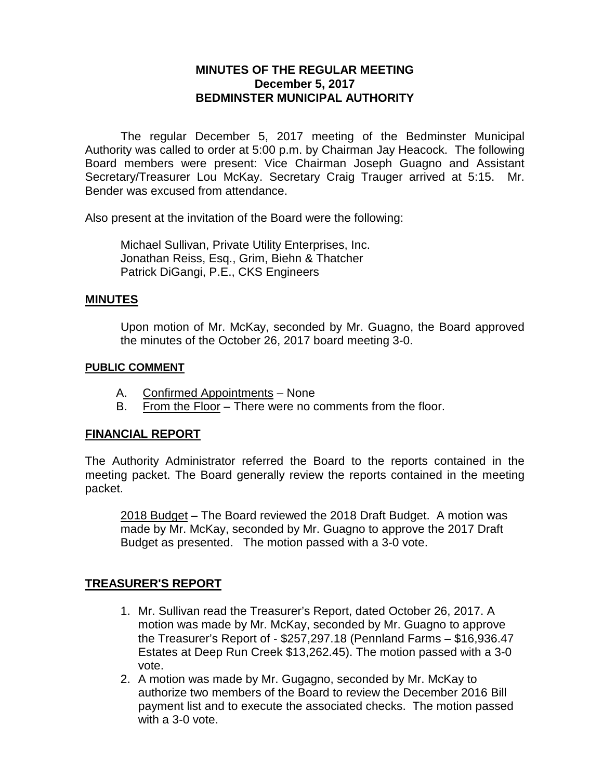## **MINUTES OF THE REGULAR MEETING December 5, 2017 BEDMINSTER MUNICIPAL AUTHORITY**

The regular December 5, 2017 meeting of the Bedminster Municipal Authority was called to order at 5:00 p.m. by Chairman Jay Heacock. The following Board members were present: Vice Chairman Joseph Guagno and Assistant Secretary/Treasurer Lou McKay. Secretary Craig Trauger arrived at 5:15. Mr. Bender was excused from attendance.

Also present at the invitation of the Board were the following:

Michael Sullivan, Private Utility Enterprises, Inc. Jonathan Reiss, Esq., Grim, Biehn & Thatcher Patrick DiGangi, P.E., CKS Engineers

#### **MINUTES**

Upon motion of Mr. McKay, seconded by Mr. Guagno, the Board approved the minutes of the October 26, 2017 board meeting 3-0.

#### **PUBLIC COMMENT**

- A. Confirmed Appointments None
- B. From the Floor There were no comments from the floor.

## **FINANCIAL REPORT**

The Authority Administrator referred the Board to the reports contained in the meeting packet. The Board generally review the reports contained in the meeting packet.

2018 Budget – The Board reviewed the 2018 Draft Budget. A motion was made by Mr. McKay, seconded by Mr. Guagno to approve the 2017 Draft Budget as presented. The motion passed with a 3-0 vote.

# **TREASURER'S REPORT**

- 1. Mr. Sullivan read the Treasurer's Report, dated October 26, 2017. A motion was made by Mr. McKay, seconded by Mr. Guagno to approve the Treasurer's Report of - \$257,297.18 (Pennland Farms – \$16,936.47 Estates at Deep Run Creek \$13,262.45). The motion passed with a 3-0 vote.
- 2. A motion was made by Mr. Gugagno, seconded by Mr. McKay to authorize two members of the Board to review the December 2016 Bill payment list and to execute the associated checks. The motion passed with a 3-0 vote.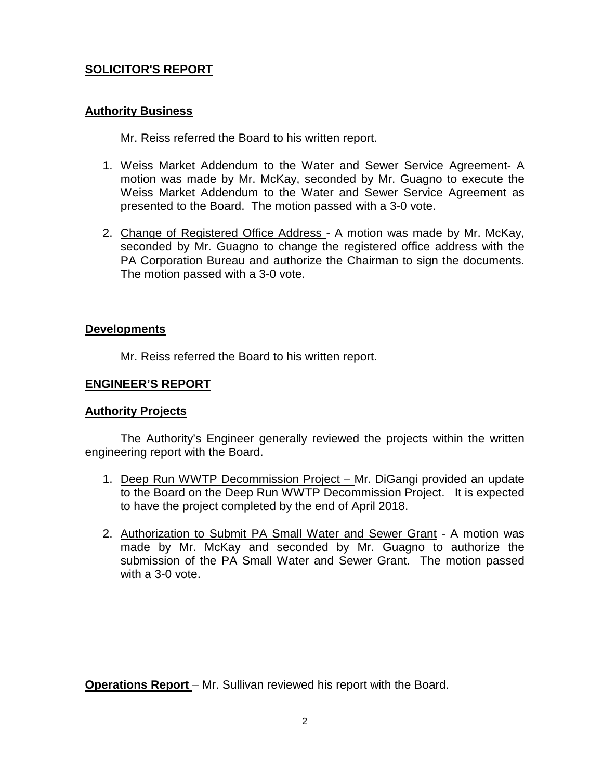## **SOLICITOR'S REPORT**

### **Authority Business**

Mr. Reiss referred the Board to his written report.

- 1. Weiss Market Addendum to the Water and Sewer Service Agreement- A motion was made by Mr. McKay, seconded by Mr. Guagno to execute the Weiss Market Addendum to the Water and Sewer Service Agreement as presented to the Board. The motion passed with a 3-0 vote.
- 2. Change of Registered Office Address A motion was made by Mr. McKay, seconded by Mr. Guagno to change the registered office address with the PA Corporation Bureau and authorize the Chairman to sign the documents. The motion passed with a 3-0 vote.

#### **Developments**

Mr. Reiss referred the Board to his written report.

#### **ENGINEER'S REPORT**

## **Authority Projects**

The Authority's Engineer generally reviewed the projects within the written engineering report with the Board.

- 1. Deep Run WWTP Decommission Project Mr. DiGangi provided an update to the Board on the Deep Run WWTP Decommission Project. It is expected to have the project completed by the end of April 2018.
- 2. Authorization to Submit PA Small Water and Sewer Grant A motion was made by Mr. McKay and seconded by Mr. Guagno to authorize the submission of the PA Small Water and Sewer Grant. The motion passed with a 3-0 vote.

**Operations Report** – Mr. Sullivan reviewed his report with the Board.